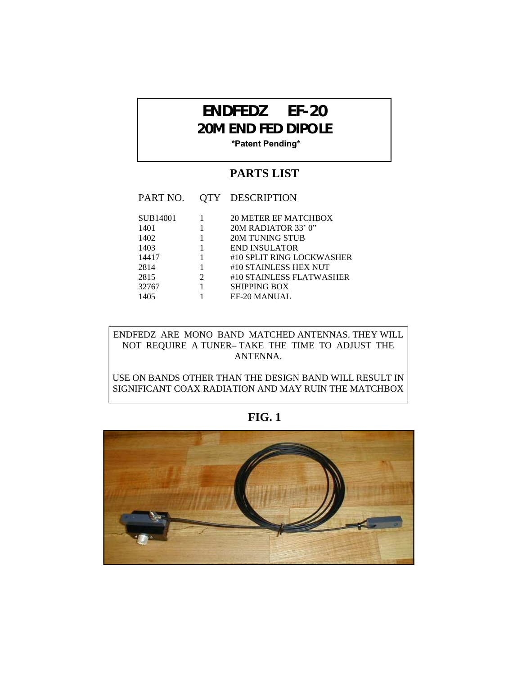## **ENDFEDZ EF-20 20M END FED DIPOLE**

**\*Patent Pending\***

## **PARTS LIST**

| PART NO.      |                             | <b>QTY DESCRIPTION</b>                             |
|---------------|-----------------------------|----------------------------------------------------|
| SUB14001      |                             | <b>20 METER EF MATCHBOX</b>                        |
| 1401<br>1402  |                             | 20M RADIATOR 33' 0"<br>20M TUNING STUB             |
| 1403          |                             | END INSULATOR                                      |
| 14417<br>2814 |                             | #10 SPLIT RING LOCKWASHER<br>#10 STAINLESS HEX NUT |
| 2815          | $\mathcal{D}_{\mathcal{L}}$ | #10 STAINLESS FLATWASHER                           |
| 32767         |                             | SHIPPING BOX                                       |
| 1405          |                             | <b>EF-20 MANUAL</b>                                |

ENDFEDZ ARE MONO BAND MATCHED ANTENNAS. THEY WILL NOT REQUIRE A TUNER– TAKE THE TIME TO ADJUST THE ANTENNA.

USE ON BANDS OTHER THAN THE DESIGN BAND WILL RESULT IN SIGNIFICANT COAX RADIATION AND MAY RUIN THE MATCHBOX

**FIG. 1** 

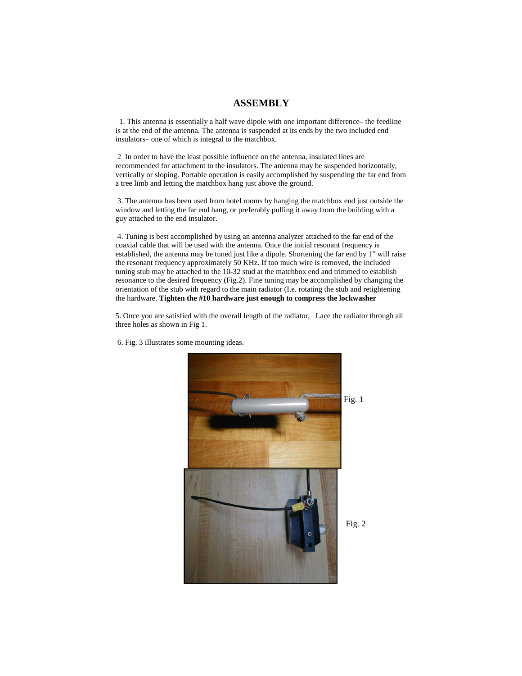## **ASSEMBLY**

 1. This antenna is essentially a half wave dipole with one important difference– the feedline is at the end of the antenna. The antenna is suspended at its ends by the two included end insulators– one of which is integral to the matchbox.

 2 In order to have the least possible influence on the antenna, insulated lines are recommended for attachment to the insulators. The antenna may be suspended horizontally, vertically or sloping. Portable operation is easily accomplished by suspending the far end from a tree limb and letting the matchbox hang just above the ground.

 3. The antenna has been used from hotel rooms by hanging the matchbox end just outside the window and letting the far end hang, or preferably pulling it away from the building with a guy attached to the end insulator.

 4. Tuning is best accomplished by using an antenna analyzer attached to the far end of the coaxial cable that will be used with the antenna. Once the initial resonant frequency is established, the antenna may be tuned just like a dipole. Shortening the far end by 1" will raise the resonant frequency approximately 50 KHz. If too much wire is removed, the included tuning stub may be attached to the 10-32 stud at the matchbox end and trimmed to establish resonance to the desired frequency (Fig.2). Fine tuning may be accomplished by changing the orientation of the stub with regard to the main radiator (I.e. rotating the stub and retightening the hardware. **Tighten the #10 hardware just enough to compress the lockwasher**

5. Once you are satisfied with the overall length of the radiator, Lace the radiator through all three holes as shown in Fig 1.



6. Fig. 3 illustrates some mounting ideas.

Fig. 2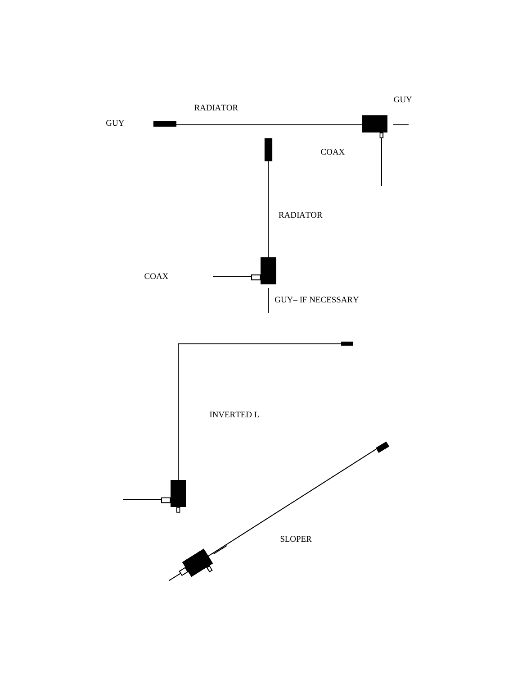